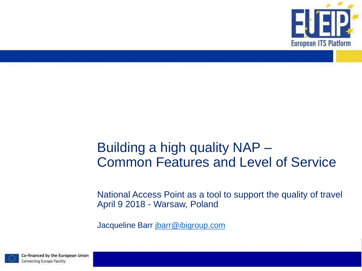

### Building a high quality NAP – Common Features and Level of Service

National Access Point as a tool to support the quality of travel April 9 2018 - Warsaw, Poland

Jacqueline Barr [jbarr@ibigroup.com](mailto:jbarr@ibigroup.com)

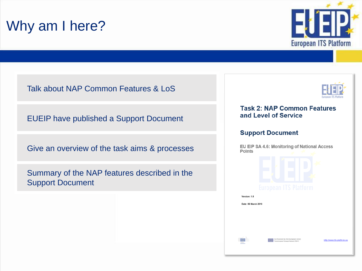# Why am I here?



Talk about NAP Common Features & LoS

EUEIP have published a Support Document

Give an overview of the task aims & processes

Summary of the NAP features described in the Support Document



#### **Task 2: NAP Common Features** and Level of Service

#### **Support Document**

EU EIP SA 4.6: Monitoring of National Access **Points** Version: 1.0 Date: 06 March 2018 o-financed by the European Unio<br>are European Transport Network (TEN-T) http://www.tfs-platform.eu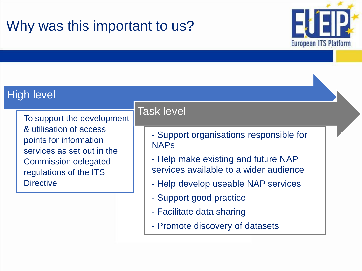# Why was this important to us?



### High level

To support the development & utilisation of access points for information services as set out in the Commission delegated regulations of the ITS **Directive** 

### Task level

- Support organisations responsible for NAPs
- Help make existing and future NAP services available to a wider audience
- Help develop useable NAP services
- Support good practice
- Facilitate data sharing
- Promote discovery of datasets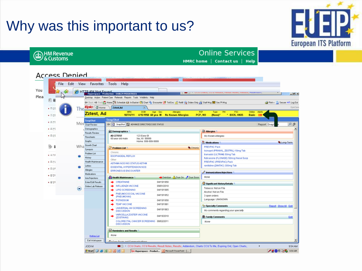# Why was this important to us?



#### **Online Services**

HMRC home Contact us | Help

#### **Access Denied**

**b** HM Revenue

| lлF<br>E öl |           |                                    | Desktop Action Patient-Care Referrals Reports Tools Weblinks Help<br>(= Back => Fwd ( <a> Home [7] Schedule Ea In Basket <a> Chart <a> Fy Encounter <a><a> <a><a< a=""> Te Reli <a><a> Chart <a> Chart <a> Chart <a< a=""> Chart <a> Chart <a> Chart <a> Chart <a<br></a<br> Chart <a> Chart <a> Chart <a<br></a<br></a></a></a></a></a></a<></a></a></a></a></a<></a></a></a></a></a></a> |                                                                  |                          |                                                                                                 | Print - Secure on Log Out |           |
|-------------|-----------|------------------------------------|--------------------------------------------------------------------------------------------------------------------------------------------------------------------------------------------------------------------------------------------------------------------------------------------------------------------------------------------------------------------------------------------|------------------------------------------------------------------|--------------------------|-------------------------------------------------------------------------------------------------|---------------------------|-----------|
| • 조선!       | The       | Epic di Home                       | Zztest,Ad                                                                                                                                                                                                                                                                                                                                                                                  | ×                                                                |                          |                                                                                                 |                           | EpicCare  |
| • 조선        |           | Zztest, Ad                         | MRN                                                                                                                                                                                                                                                                                                                                                                                        | DOB<br>Age Sex<br>18774711 4/15/1950 60 yea M No Known Allergies | Allergies                | PCP<br>PH<br><b>FSC</b><br>Online<br>Type<br>* BX35, HN35<br>PCP, NO<br>(None)*<br><b>Basic</b> | Alerts<br>н               |           |
| • 조선 [      |           | <b>SnapShot</b><br><b>SnapShot</b> |                                                                                                                                                                                                                                                                                                                                                                                            |                                                                  |                          |                                                                                                 |                           |           |
|             |           | MOS Chat Review                    | SnapShot [5] ADVANCE DIRECTIVE/CODE STATUS                                                                                                                                                                                                                                                                                                                                                 |                                                                  |                          |                                                                                                 | Report Snaps              | ہ م       |
| ■ 조선 9      |           | Demographics                       |                                                                                                                                                                                                                                                                                                                                                                                            |                                                                  |                          |                                                                                                 |                           |           |
|             |           | Results Review                     | <b>Demographics</b>                                                                                                                                                                                                                                                                                                                                                                        |                                                                  |                          | <b><i><u>C</u></i></b> Allergies                                                                |                           |           |
| • 조선민       |           | Flowsheets                         | <b>AD ZZTEST</b><br>60 year old male                                                                                                                                                                                                                                                                                                                                                       | 123 Easy St<br>Xxx, XX 99999                                     |                          | No Known Allergies                                                                              |                           |           |
|             |           | Graphs                             |                                                                                                                                                                                                                                                                                                                                                                                            | Home: 999-999-9999                                               |                          | Medications                                                                                     |                           | Long-Term |
| õ           | Wha       | <b>Growth Chart</b>                |                                                                                                                                                                                                                                                                                                                                                                                            |                                                                  |                          | <b>PREVPAC Pack</b>                                                                             |                           |           |
|             |           | Synopsis                           | Problem List                                                                                                                                                                                                                                                                                                                                                                               |                                                                  | <b>Q</b> Chronic         | lisinopril (PRINIVIL, ZESTRIL) 10mg Tab                                                         |                           |           |
| ■ 국가리       |           | Problem List                       | Chronic                                                                                                                                                                                                                                                                                                                                                                                    |                                                                  |                          | tramadol (ULTRAM) 50mg Tab                                                                      |                           |           |
|             |           | History                            | <b>ESOPHAGEAL REFLUX</b><br>Other                                                                                                                                                                                                                                                                                                                                                          |                                                                  |                          | fluticasone (FLONASE) 50mcg Nasal Susp                                                          |                           |           |
| ■ 조선{       |           | Health Maintenance                 | ASTHMA NOS W/O STATUS ASTHM                                                                                                                                                                                                                                                                                                                                                                |                                                                  |                          | PREVPAC (PREVPAC) Pack                                                                          |                           |           |
|             |           | Letters                            | <b>ESSENTIAL HYPERTENSION NOS</b>                                                                                                                                                                                                                                                                                                                                                          |                                                                  |                          | ranitidine (ZANTAC) 300mg Tab                                                                   |                           |           |
| ■ 조선히       |           | Allengies                          | ERRONEOUS ENCOUNTER                                                                                                                                                                                                                                                                                                                                                                        |                                                                  |                          |                                                                                                 |                           |           |
| ■ 중앙t       |           | Medications                        |                                                                                                                                                                                                                                                                                                                                                                                            |                                                                  |                          | / Immunizations Injections                                                                      |                           |           |
|             |           | Imm/Injections                     | <b>C-3</b> Health Maintenance                                                                                                                                                                                                                                                                                                                                                              |                                                                  | Overdue ADue On Due Soon | None                                                                                            |                           |           |
| ▪ 중앙₹       |           | Enter/Edit Results                 | CREATININE                                                                                                                                                                                                                                                                                                                                                                                 | 04/15/1950                                                       |                          | Significant History/Details                                                                     |                           |           |
|             | $\bullet$ | Online Lab Release                 | INFLUENZA VACCINE                                                                                                                                                                                                                                                                                                                                                                          | 09/01/2010                                                       |                          | Tobacco: Not on File                                                                            |                           |           |
|             |           |                                    | <b>LIPID SCREENING</b>                                                                                                                                                                                                                                                                                                                                                                     | 04/15/1985                                                       |                          | Alcohol: Not on File                                                                            |                           |           |
|             |           |                                    | PNEUMOCOCCAL VACCINE<br>(PNEUMOVAX)                                                                                                                                                                                                                                                                                                                                                        | 04/15/1952                                                       |                          | 3 open orders                                                                                   |                           |           |
|             |           |                                    | <b>POTASSIUM</b>                                                                                                                                                                                                                                                                                                                                                                           | 04/15/1950                                                       |                          | Language: UNKNOWN                                                                               |                           |           |
|             |           |                                    | TDAP VACCINE                                                                                                                                                                                                                                                                                                                                                                               | 04/15/1961                                                       |                          |                                                                                                 |                           |           |
|             |           |                                    | UNIVERSAL HIV SCREENING<br>DISCUSSION                                                                                                                                                                                                                                                                                                                                                      | 04/15/1963                                                       |                          | <sup>2</sup> <sub>D</sub> Specialty Comments<br>No comments regarding your specialty            | Report Show All Edit      |           |
|             |           |                                    | VARICELLA ZOSTER VACCINE<br>(ZOSTAVAX)                                                                                                                                                                                                                                                                                                                                                     | 04/15/2010                                                       |                          | Family Comments                                                                                 |                           | Edit      |
|             |           |                                    | COLORECTAL CANCER SCREENING 08/02/2011<br><b>DISCUSSION</b>                                                                                                                                                                                                                                                                                                                                |                                                                  |                          | None                                                                                            |                           |           |
|             |           |                                    | Reminders and Results                                                                                                                                                                                                                                                                                                                                                                      |                                                                  |                          |                                                                                                 |                           |           |
|             |           | <b>Hotkey List</b>                 | None                                                                                                                                                                                                                                                                                                                                                                                       |                                                                  |                          |                                                                                                 |                           |           |
|             |           | Exit Workspace                     | <b>Co.Corp. Trum and Communications</b>                                                                                                                                                                                                                                                                                                                                                    |                                                                  |                          |                                                                                                 |                           |           |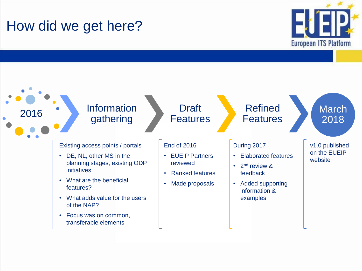# How did we get here?



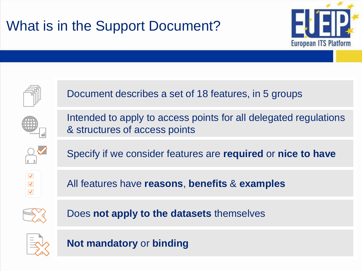# What is in the Support Document?





Document describes a set of 18 features, in 5 groups



Intended to apply to access points for all delegated regulations & structures of access points



Specify if we consider features are **required** or **nice to have** 



All features have **reasons**, **benefits** & **examples**



Does **not apply to the datasets** themselves



**Not mandatory** or **binding**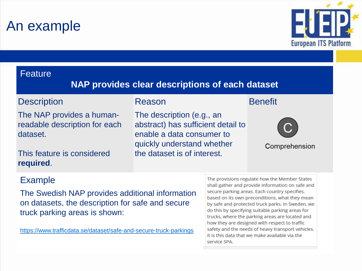### An example



#### **Feature**

### **NAP provides clear descriptions of each dataset**

#### **Description**

The NAP provides a humanreadable description for each dataset.

This feature is considered **required**.

#### Reason

The description (e.g., an abstract) has sufficient detail to enable a data consumer to quickly understand whether the dataset is of interest.

#### **Benefit**



Comprehension

### Example

The Swedish NAP provides additional information on datasets, the description for safe and secure truck parking areas is shown:

<https://www.trafficdata.se/dataset/safe-and-secure-truck-parkings>

The provisions regulate how the Member States shall gather and provide information on safe and secure parking areas. Each country specifies, based on its own preconditions, what they mean by safe and protected truck parks. In Sweden, we do this by specifying suitable parking areas for trucks, where the parking areas are located and how they are designed with respect to traffic safety and the needs of heavy transport vehicles. It is this data that we make available via the service SPA.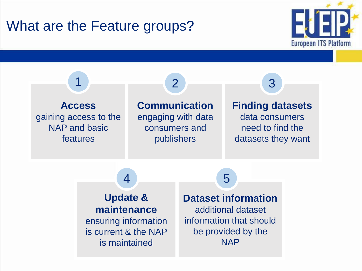### What are the Feature groups?



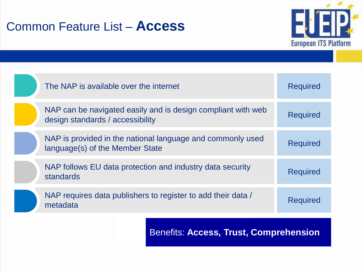### Common Feature List – **Access**



| The NAP is available over the internet                                                           | <b>Required</b> |
|--------------------------------------------------------------------------------------------------|-----------------|
| NAP can be navigated easily and is design compliant with web<br>design standards / accessibility | <b>Required</b> |
| NAP is provided in the national language and commonly used<br>language(s) of the Member State    | <b>Required</b> |
| NAP follows EU data protection and industry data security<br>standards                           | <b>Required</b> |
| NAP requires data publishers to register to add their data /<br>metadata                         | <b>Required</b> |

Benefits: **Access, Trust, Comprehension**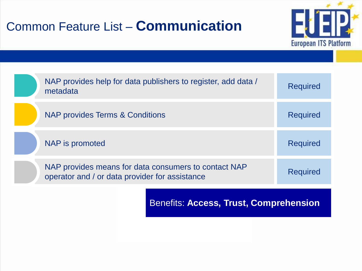### Common Feature List – **Communication**



| NAP provides help for data publishers to register, add data /<br>metadata                              | <b>Required</b> |
|--------------------------------------------------------------------------------------------------------|-----------------|
| NAP provides Terms & Conditions                                                                        | <b>Required</b> |
| NAP is promoted                                                                                        | <b>Required</b> |
| NAP provides means for data consumers to contact NAP<br>operator and / or data provider for assistance | <b>Required</b> |
|                                                                                                        |                 |

Benefits: **Access, Trust, Comprehension**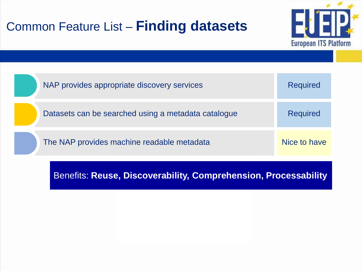### Common Feature List – **Finding datasets**



| NAP provides appropriate discovery services         | <b>Required</b> |
|-----------------------------------------------------|-----------------|
| Datasets can be searched using a metadata catalogue | <b>Required</b> |
| The NAP provides machine readable metadata          | Nice to have    |

Benefits: **Reuse, Discoverability, Comprehension, Processability**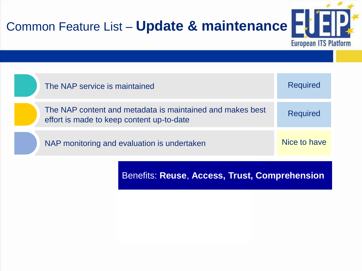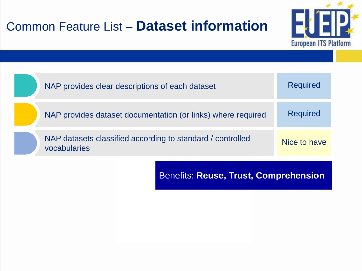### Common Feature List – **Dataset information**





Benefits: **Reuse, Trust, Comprehension**